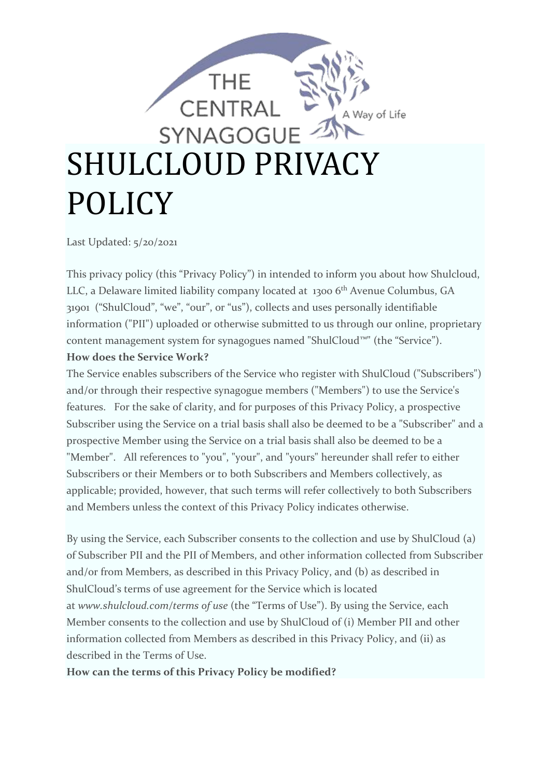

Last Updated: 5/20/2021

This privacy policy (this "Privacy Policy") in intended to inform you about how Shulcloud, LLC, a Delaware limited liability company located at 1300 6<sup>th</sup> Avenue Columbus, GA 31901 ("ShulCloud", "we", "our", or "us"), collects and uses personally identifiable information ("PII") uploaded or otherwise submitted to us through our online, proprietary content management system for synagogues named "ShulCloud™" (the "Service"). **How does the Service Work?**

The Service enables subscribers of the Service who register with ShulCloud ("Subscribers") and/or through their respective synagogue members ("Members") to use the Service's features. For the sake of clarity, and for purposes of this Privacy Policy, a prospective Subscriber using the Service on a trial basis shall also be deemed to be a "Subscriber" and a prospective Member using the Service on a trial basis shall also be deemed to be a "Member". All references to "you", "your", and "yours" hereunder shall refer to either Subscribers or their Members or to both Subscribers and Members collectively, as applicable; provided, however, that such terms will refer collectively to both Subscribers and Members unless the context of this Privacy Policy indicates otherwise.

By using the Service, each Subscriber consents to the collection and use by ShulCloud (a) of Subscriber PII and the PII of Members, and other information collected from Subscriber and/or from Members, as described in this Privacy Policy, and (b) as described in ShulCloud's terms of use agreement for the Service which is located at *www.shulcloud.com/terms of use* (the "Terms of Use"). By using the Service, each Member consents to the collection and use by ShulCloud of (i) Member PII and other information collected from Members as described in this Privacy Policy, and (ii) as described in the Terms of Use.

### **How can the terms of this Privacy Policy be modified?**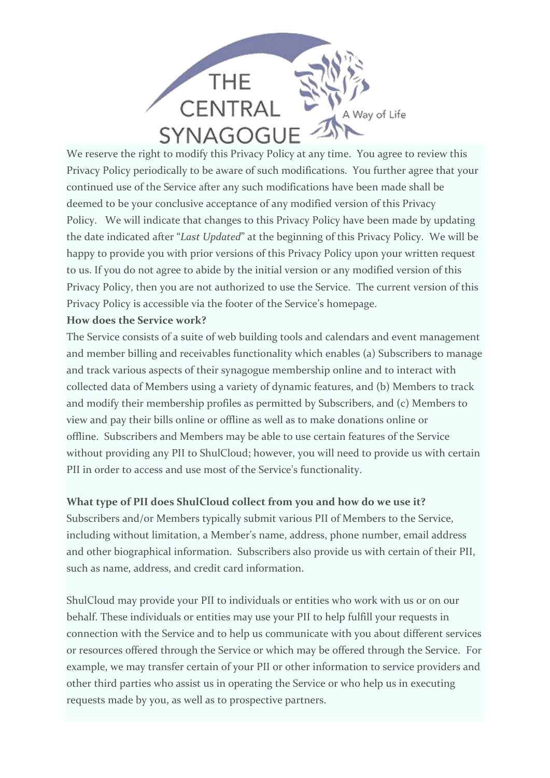

We reserve the right to modify this Privacy Policy at any time. You agree to review this Privacy Policy periodically to be aware of such modifications. You further agree that your continued use of the Service after any such modifications have been made shall be deemed to be your conclusive acceptance of any modified version of this Privacy Policy. We will indicate that changes to this Privacy Policy have been made by updating the date indicated after "*Last Updated*" at the beginning of this Privacy Policy. We will be happy to provide you with prior versions of this Privacy Policy upon your written request to us. If you do not agree to abide by the initial version or any modified version of this Privacy Policy, then you are not authorized to use the Service. The current version of this Privacy Policy is accessible via the footer of the Service's homepage.

### **How does the Service work?**

The Service consists of a suite of web building tools and calendars and event management and member billing and receivables functionality which enables (a) Subscribers to manage and track various aspects of their synagogue membership online and to interact with collected data of Members using a variety of dynamic features, and (b) Members to track and modify their membership profiles as permitted by Subscribers, and (c) Members to view and pay their bills online or offline as well as to make donations online or offline. Subscribers and Members may be able to use certain features of the Service without providing any PII to ShulCloud; however, you will need to provide us with certain PII in order to access and use most of the Service's functionality.

## **What type of PII does ShulCloud collect from you and how do we use it?**

Subscribers and/or Members typically submit various PII of Members to the Service, including without limitation, a Member's name, address, phone number, email address and other biographical information. Subscribers also provide us with certain of their PII, such as name, address, and credit card information.

ShulCloud may provide your PII to individuals or entities who work with us or on our behalf. These individuals or entities may use your PII to help fulfill your requests in connection with the Service and to help us communicate with you about different services or resources offered through the Service or which may be offered through the Service. For example, we may transfer certain of your PII or other information to service providers and other third parties who assist us in operating the Service or who help us in executing requests made by you, as well as to prospective partners.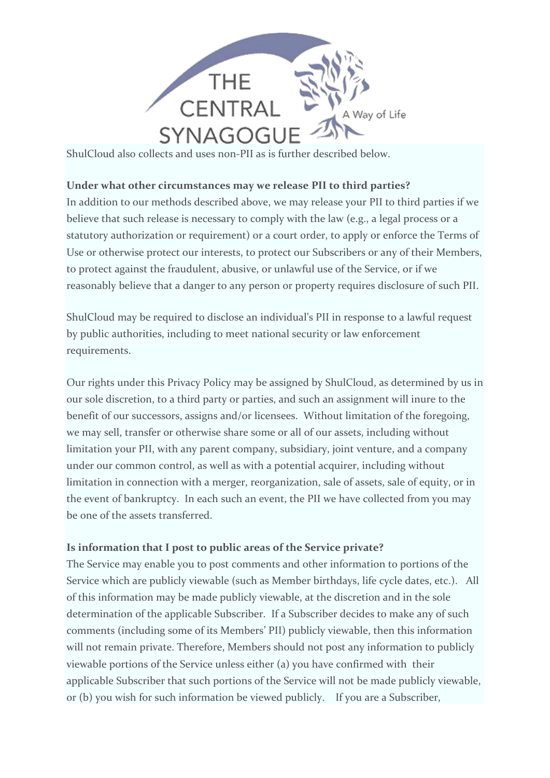

ShulCloud also collects and uses non-PII as is further described below.

### **Under what other circumstances may we release PII to third parties?**

In addition to our methods described above, we may release your PII to third parties if we believe that such release is necessary to comply with the law (e.g., a legal process or a statutory authorization or requirement) or a court order, to apply or enforce the Terms of Use or otherwise protect our interests, to protect our Subscribers or any of their Members, to protect against the fraudulent, abusive, or unlawful use of the Service, or if we reasonably believe that a danger to any person or property requires disclosure of such PII.

ShulCloud may be required to disclose an individual's PII in response to a lawful request by public authorities, including to meet national security or law enforcement requirements.

Our rights under this Privacy Policy may be assigned by ShulCloud, as determined by us in our sole discretion, to a third party or parties, and such an assignment will inure to the benefit of our successors, assigns and/or licensees. Without limitation of the foregoing, we may sell, transfer or otherwise share some or all of our assets, including without limitation your PII, with any parent company, subsidiary, joint venture, and a company under our common control, as well as with a potential acquirer, including without limitation in connection with a merger, reorganization, sale of assets, sale of equity, or in the event of bankruptcy. In each such an event, the PII we have collected from you may be one of the assets transferred.

## **Is information that I post to public areas of the Service private?**

The Service may enable you to post comments and other information to portions of the Service which are publicly viewable (such as Member birthdays, life cycle dates, etc.). All of this information may be made publicly viewable, at the discretion and in the sole determination of the applicable Subscriber. If a Subscriber decides to make any of such comments (including some of its Members' PII) publicly viewable, then this information will not remain private. Therefore, Members should not post any information to publicly viewable portions of the Service unless either (a) you have confirmed with their applicable Subscriber that such portions of the Service will not be made publicly viewable, or (b) you wish for such information be viewed publicly. If you are a Subscriber,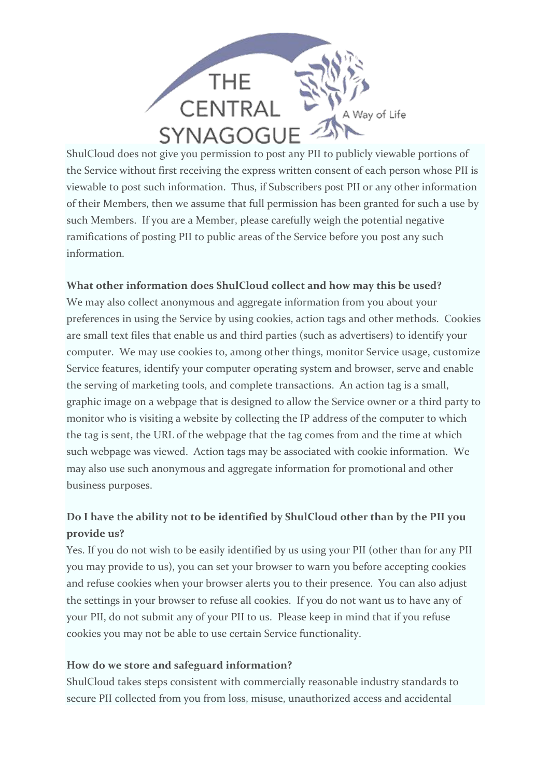

ShulCloud does not give you permission to post any PII to publicly viewable portions of the Service without first receiving the express written consent of each person whose PII is viewable to post such information. Thus, if Subscribers post PII or any other information of their Members, then we assume that full permission has been granted for such a use by such Members. If you are a Member, please carefully weigh the potential negative ramifications of posting PII to public areas of the Service before you post any such information.

## **What other information does ShulCloud collect and how may this be used?**

We may also collect anonymous and aggregate information from you about your preferences in using the Service by using cookies, action tags and other methods. Cookies are small text files that enable us and third parties (such as advertisers) to identify your computer. We may use cookies to, among other things, monitor Service usage, customize Service features, identify your computer operating system and browser, serve and enable the serving of marketing tools, and complete transactions. An action tag is a small, graphic image on a webpage that is designed to allow the Service owner or a third party to monitor who is visiting a website by collecting the IP address of the computer to which the tag is sent, the URL of the webpage that the tag comes from and the time at which such webpage was viewed. Action tags may be associated with cookie information. We may also use such anonymous and aggregate information for promotional and other business purposes.

# **Do I have the ability not to be identified by ShulCloud other than by the PII you provide us?**

Yes. If you do not wish to be easily identified by us using your PII (other than for any PII you may provide to us), you can set your browser to warn you before accepting cookies and refuse cookies when your browser alerts you to their presence. You can also adjust the settings in your browser to refuse all cookies. If you do not want us to have any of your PII, do not submit any of your PII to us. Please keep in mind that if you refuse cookies you may not be able to use certain Service functionality.

### **How do we store and safeguard information?**

ShulCloud takes steps consistent with commercially reasonable industry standards to secure PII collected from you from loss, misuse, unauthorized access and accidental